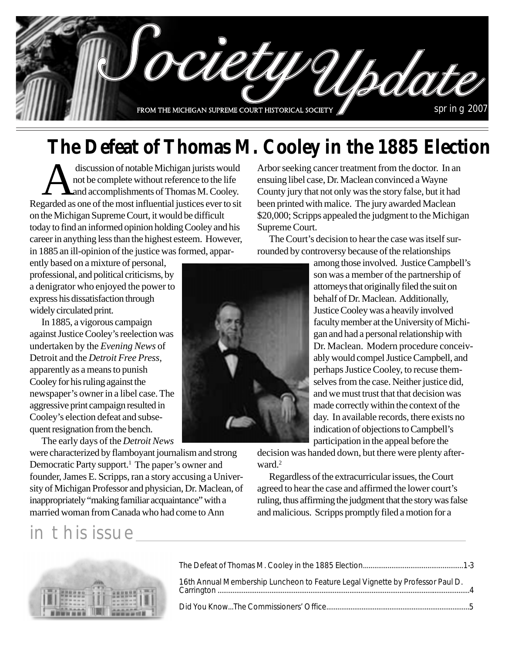

### **The Defeat of Thomas M. Cooley in the 1885 Election**

discussion of notable Michigan jurists would<br>not be complete without reference to the life<br>and accomplishments of Thomas M. Cooley. not be complete without reference to the life and accomplishments of Thomas M. Cooley. Regarded as one of the most influential justices ever to sit on the Michigan Supreme Court, it would be difficult today to find an informed opinion holding Cooley and his career in anything less than the highest esteem. However, in 1885 an ill-opinion of the justice was formed, appar-

ently based on a mixture of personal, professional, and political criticisms, by a denigrator who enjoyed the power to express his dissatisfaction through widely circulated print.

In 1885, a vigorous campaign against Justice Cooley's reelection was undertaken by the *Evening News* of Detroit and the *Detroit Free Press,* apparently as a means to punish Cooley for his ruling against the newspaper's owner in a libel case. The aggressive print campaign resulted in Cooley's election defeat and subsequent resignation from the bench.

The early days of the *Detroit News*

were characterized by flamboyant journalism and strong Democratic Party support.<sup>1</sup> The paper's owner and founder, James E. Scripps, ran a story accusing a University of Michigan Professor and physician, Dr. Maclean, of inappropriately "making familiar acquaintance" with a married woman from Canada who had come to Ann

### in this issue



Arbor seeking cancer treatment from the doctor. In an ensuing libel case, Dr. Maclean convinced a Wayne County jury that not only was the story false, but it had been printed with malice. The jury awarded Maclean \$20,000; Scripps appealed the judgment to the Michigan Supreme Court.

The Court's decision to hear the case was itself surrounded by controversy because of the relationships

> among those involved. Justice Campbell's son was a member of the partnership of attorneys that originally filed the suit on behalf of Dr. Maclean. Additionally, Justice Cooley was a heavily involved faculty member at the University of Michigan and had a personal relationship with Dr. Maclean. Modern procedure conceivably would compel Justice Campbell, and perhaps Justice Cooley, to recuse themselves from the case. Neither justice did, and we must trust that that decision was made correctly within the context of the day. In available records, there exists no indication of objections to Campbell's participation in the appeal before the

decision was handed down, but there were plenty afterward.<sup>2</sup>

Regardless of the extracurricular issues, the Court agreed to hear the case and affirmed the lower court's ruling, thus affirming the judgment that the story was false and malicious. Scripps promptly filed a motion for a



| 16th Annual Membership Luncheon to Feature Legal Vignette by Professor Paul D. |  |
|--------------------------------------------------------------------------------|--|
|                                                                                |  |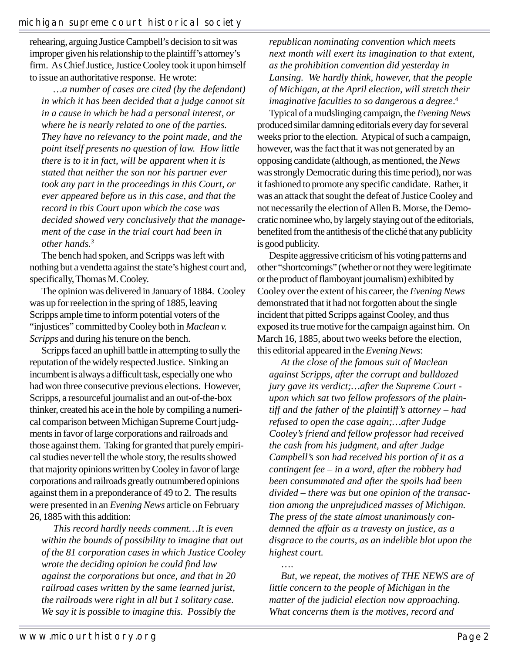rehearing, arguing Justice Campbell's decision to sit was improper given his relationship to the plaintiff's attorney's firm. As Chief Justice, Justice Cooley took it upon himself to issue an authoritative response. He wrote:

*…a number of cases are cited (by the defendant) in which it has been decided that a judge cannot sit in a cause in which he had a personal interest, or where he is nearly related to one of the parties. They have no relevancy to the point made, and the point itself presents no question of law. How little there is to it in fact, will be apparent when it is stated that neither the son nor his partner ever took any part in the proceedings in this Court, or ever appeared before us in this case, and that the record in this Court upon which the case was decided showed very conclusively that the management of the case in the trial court had been in other hands.3*

The bench had spoken, and Scripps was left with nothing but a vendetta against the state's highest court and, specifically, Thomas M. Cooley.

The opinion was delivered in January of 1884. Cooley was up for reelection in the spring of 1885, leaving Scripps ample time to inform potential voters of the "injustices" committed by Cooley both in *Maclean v. Scripps* and during his tenure on the bench.

Scripps faced an uphill battle in attempting to sully the reputation of the widely respected Justice. Sinking an incumbent is always a difficult task, especially one who had won three consecutive previous elections. However, Scripps, a resourceful journalist and an out-of-the-box thinker, created his ace in the hole by compiling a numerical comparison between Michigan Supreme Court judgments in favor of large corporations and railroads and those against them. Taking for granted that purely empirical studies never tell the whole story, the results showed that majority opinions written by Cooley in favor of large corporations and railroads greatly outnumbered opinions against them in a preponderance of 49 to 2. The results were presented in an *Evening News* article on February 26, 1885 with this addition:

*This record hardly needs comment…It is even within the bounds of possibility to imagine that out of the 81 corporation cases in which Justice Cooley wrote the deciding opinion he could find law against the corporations but once, and that in 20 railroad cases written by the same learned jurist, the railroads were right in all but 1 solitary case. We say it is possible to imagine this. Possibly the*

*republican nominating convention which meets next month will exert its imagination to that extent, as the prohibition convention did yesterday in Lansing. We hardly think, however, that the people of Michigan, at the April election, will stretch their imaginative faculties to so dangerous a degree*. 4

Typical of a mudslinging campaign, the *Evening News* produced similar damning editorials every day for several weeks prior to the election. Atypical of such a campaign, however, was the fact that it was not generated by an opposing candidate (although, as mentioned, the *News* was strongly Democratic during this time period), nor was it fashioned to promote any specific candidate. Rather, it was an attack that sought the defeat of Justice Cooley and not necessarily the election of Allen B. Morse, the Democratic nominee who, by largely staying out of the editorials, benefited from the antithesis of the cliché that any publicity is good publicity.

Despite aggressive criticism of his voting patterns and other "shortcomings" (whether or not they were legitimate or the product of flamboyant journalism) exhibited by Cooley over the extent of his career, the *Evening News* demonstrated that it had not forgotten about the single incident that pitted Scripps against Cooley, and thus exposed its true motive for the campaign against him. On March 16, 1885, about two weeks before the election, this editorial appeared in the *Evening News*:

*At the close of the famous suit of Maclean against Scripps, after the corrupt and bulldozed jury gave its verdict;…after the Supreme Court upon which sat two fellow professors of the plaintiff and the father of the plaintiff's attorney – had refused to open the case again;…after Judge Cooley's friend and fellow professor had received the cash from his judgment, and after Judge Campbell's son had received his portion of it as a contingent fee – in a word, after the robbery had been consummated and after the spoils had been divided – there was but one opinion of the transaction among the unprejudiced masses of Michigan. The press of the state almost unanimously condemned the affair as a travesty on justice, as a disgrace to the courts, as an indelible blot upon the highest court.*

…. *But, we repeat, the motives of THE NEWS are of little concern to the people of Michigan in the matter of the judicial election now approaching. What concerns them is the motives, record and*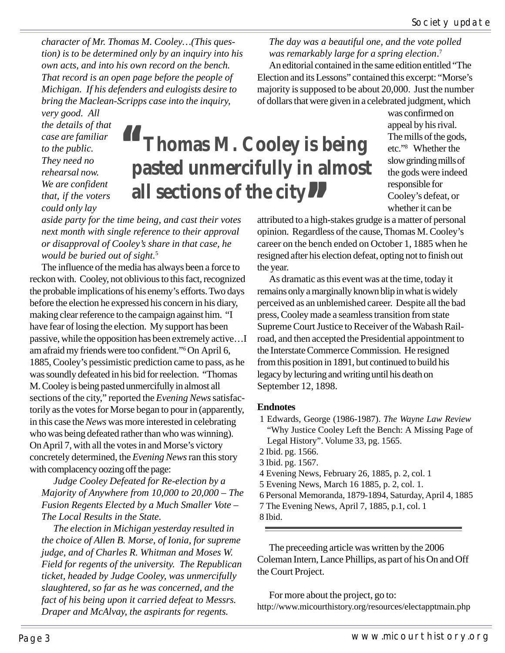*character of Mr. Thomas M. Cooley…(This question) is to be determined only by an inquiry into his own acts, and into his own record on the bench. That record is an open page before the people of Michigan. If his defenders and eulogists desire to bring the Maclean-Scripps case into the inquiry,*

*next month with single reference to their approval or disapproval of Cooley's share in that case, he*

The influence of the media has always been a force to reckon with. Cooley, not oblivious to this fact, recognized the probable implications of his enemy's efforts. Two days before the election he expressed his concern in his diary, making clear reference to the campaign against him. "I have fear of losing the election. My support has been passive, while the opposition has been extremely active…I am afraid my friends were too confident."6On April 6, 1885, Cooley's pessimistic prediction came to pass, as he was soundly defeated in his bid for reelection. "Thomas M. Cooley is being pasted unmercifully in almost all

sections of the city," reported the *Evening News* satisfactorily as the votes for Morse began to pour in (apparently, in this case the *News* was more interested in celebrating who was being defeated rather than who was winning). On April 7, with all the votes in and Morse's victory concretely determined, the *Evening News* ran this story

*Judge Cooley Defeated for Re-election by a Majority of Anywhere from 10,000 to 20,000 – The Fusion Regents Elected by a Much Smaller Vote –*

*The election in Michigan yesterday resulted in the choice of Allen B. Morse, of Ionia, for supreme judge, and of Charles R. Whitman and Moses W. Field for regents of the university. The Republican ticket, headed by Judge Cooley, was unmercifully slaughtered, so far as he was concerned, and the fact of his being upon it carried defeat to Messrs. Draper and McAlvay, the aspirants for regents.*

*very good. All the details of that case are familiar We are confident*

## **Thomas M. Cooley is being pasted unmercifully in almost all sections of the city**<br>**Departure 10 a high property attributed to a high property attributed to a high property. "**

of dollars that were given in a celebrated judgment, which was confirmed on appeal by his rival. The mills of the gods, etc."8 Whether the slow grinding mills of the gods were indeed responsible for Cooley's defeat, or whether it can be

attributed to a high-stakes grudge is a matter of personal opinion. Regardless of the cause, Thomas M. Cooley's career on the bench ended on October 1, 1885 when he resigned after his election defeat, opting not to finish out the year.

*The day was a beautiful one, and the vote polled was remarkably large for a spring election*. 7

An editorial contained in the same edition entitled "The Election and its Lessons" contained this excerpt: "Morse's majority is supposed to be about 20,000. Just the number

As dramatic as this event was at the time, today it remains only a marginally known blip in what is widely perceived as an unblemished career. Despite all the bad press, Cooley made a seamless transition from state Supreme Court Justice to Receiver of the Wabash Railroad, and then accepted the Presidential appointment to the Interstate Commerce Commission. He resigned from this position in 1891, but continued to build his legacy by lecturing and writing until his death on September 12, 1898.

#### **Endnotes**

- 1 Edwards, George (1986-1987). *The Wayne Law Review* "Why Justice Cooley Left the Bench: A Missing Page of Legal History". Volume 33, pg. 1565.
- 2 Ibid. pg. 1566.
- 3 Ibid. pg. 1567.
- 4 Evening News, February 26, 1885, p. 2, col. 1
- 5 Evening News, March 16 1885, p. 2, col. 1.
- 6 Personal Memoranda, 1879-1894, Saturday, April 4, 1885
- 7 The Evening News, April 7, 1885, p.1, col. 1
- 8 Ibid.

The preceeding article was written by the 2006 Coleman Intern, Lance Phillips, as part of his On and Off the Court Project.

For more about the project, go to: http://www.micourthistory.org/resources/electapptmain.php

*to the public. They need no rehearsal now. that, if the voters could only lay aside party for the time being, and cast their votes*

*would be buried out of sight.*<sup>5</sup>

with complacency oozing off the page:

*The Local Results in the State.*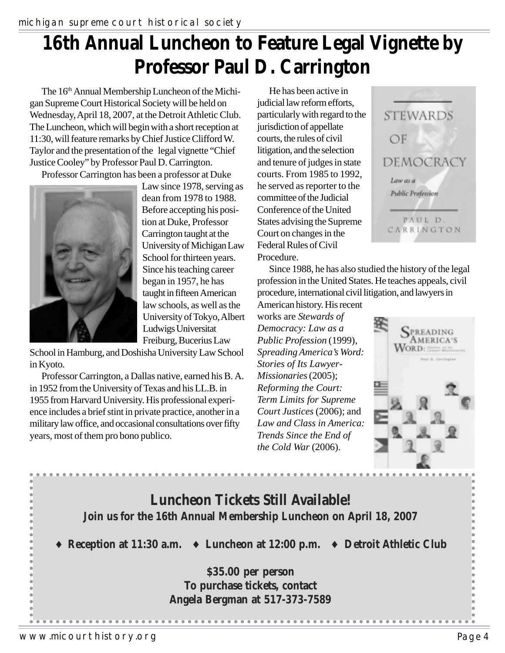## **16th Annual Luncheon to Feature Legal Vignette by Professor Paul D. Carrington**

The 16<sup>th</sup> Annual Membership Luncheon of the Michigan Supreme Court Historical Society will be held on Wednesday, April 18, 2007, at the Detroit Athletic Club. The Luncheon, which will begin with a short reception at 11:30, will feature remarks by Chief Justice Clifford W. Taylor and the presentation of the legal vignette "Chief Justice Cooley" by Professor Paul D. Carrington.

Professor Carrington has been a professor at Duke



Law since 1978, serving as dean from 1978 to 1988. Before accepting his position at Duke, Professor Carrington taught at the University of Michigan Law School for thirteen years. Since his teaching career began in 1957, he has taught in fifteen American law schools, as well as the University of Tokyo, Albert Ludwigs Universitat Freiburg, Bucerius Law

School in Hamburg, and Doshisha University Law School in Kyoto.

Professor Carrington, a Dallas native, earned his B. A. in 1952 from the University of Texas and his LL.B. in 1955 from Harvard University. His professional experience includes a brief stint in private practice, another in a military law office, and occasional consultations over fifty years, most of them pro bono publico.

He has been active in judicial law reform efforts, particularly with regard to the jurisdiction of appellate courts, the rules of civil litigation, and the selection and tenure of judges in state courts. From 1985 to 1992, he served as reporter to the committee of the Judicial Conference of the United States advising the Supreme Court on changes in the Federal Rules of Civil Procedure.



Since 1988, he has also studied the history of the legal profession in the United States. He teaches appeals, civil procedure, international civil litigation, and lawyers in

American history. His recent works are *Stewards of Democracy: Law as a Public Profession* (1999), *Spreading America's Word: Stories of Its Lawyer-Missionaries* (2005); *Reforming the Court: Term Limits for Supreme Court Justices* (2006); and *Law and Class in America: Trends Since the End of the Cold War* (2006).



### **Luncheon Tickets Still Available! Join us for the 16th Annual Membership Luncheon on April 18, 2007**

♦ **Reception at 11:30 a.m.** ♦ **Luncheon at 12:00 p.m.** ♦ **Detroit Athletic Club**

**\$35.00 per person To purchase tickets, contact Angela Bergman at 517-373-7589**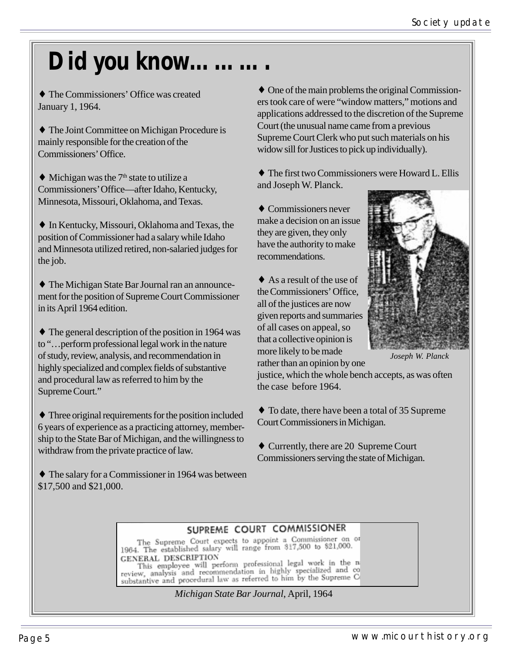# Did you know.

♦ The Commissioners' Office was created January 1, 1964.

♦ The Joint Committee on Michigan Procedure is mainly responsible for the creation of the Commissioners' Office.

 $\blacklozenge$  Michigan was the 7<sup>th</sup> state to utilize a Commissioners' Office—after Idaho, Kentucky, Minnesota, Missouri, Oklahoma, and Texas.

♦ In Kentucky, Missouri, Oklahoma and Texas, the position of Commissioner had a salary while Idaho and Minnesota utilized retired, non-salaried judges for the job.

♦ The Michigan State Bar Journal ran an announcement for the position of Supreme Court Commissioner in its April 1964 edition.

♦ The general description of the position in 1964 was to "…perform professional legal work in the nature of study, review, analysis, and recommendation in highly specialized and complex fields of substantive and procedural law as referred to him by the Supreme Court."

♦ Three original requirements for the position included 6 years of experience as a practicing attorney, membership to the State Bar of Michigan, and the willingness to withdraw from the private practice of law.

♦ The salary for a Commissioner in 1964 was between \$17,500 and \$21,000.

♦ One of the main problems the original Commissioners took care of were "window matters," motions and applications addressed to the discretion of the Supreme Court (the unusual name came from a previous Supreme Court Clerk who put such materials on his widow sill for Justices to pick up individually).

♦ The first two Commissioners were Howard L. Ellis and Joseph W. Planck.

♦ Commissioners never make a decision on an issue they are given, they only have the authority to make recommendations.

 $\triangle$  As a result of the use of the Commissioners' Office, all of the justices are now given reports and summaries of all cases on appeal, so that a collective opinion is more likely to be made rather than an opinion by one



*Joseph W. Planck*

justice, which the whole bench accepts, as was often the case before 1964.

♦ To date, there have been a total of 35 Supreme Court Commissioners in Michigan.

♦ Currently, there are 20 Supreme Court Commissioners serving the state of Michigan.

#### SUPREME COURT COMMISSIONER

The Supreme Court expects to appoint a Commissioner on or 1964. The established salary will range from \$17,500 to \$21,000. GENERAL DESCRIPTION

GENERAL DESCRIPTION<br>This employee will perform professional legal work in the n<br>review, analysis and recommendation in highly specialized and co<br>substantive and procedural law as referred to him by the Supreme C

*Michigan State Bar Journal*, April, 1964